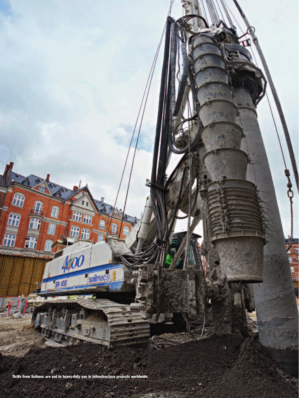

Drills from Soilmec are put to heavy-duty use in infrastructure projects worldwide.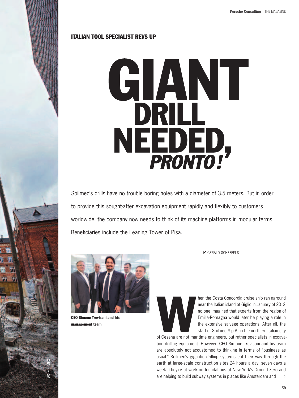# Italian tool specialist revs up



Soilmec's drills have no trouble boring holes with a diameter of 3.5 meters. But in order to provide this sought-after excavation equipment rapidly and flexibly to customers worldwide, the company now needs to think of its machine platforms in modular terms. Beneficiaries include the Leaning Tower of Pisa.



CEO Simone Trevisani and his management team

SOILMEC

**■ GFRALD SCHEFFELS** 

hen the Costa Concordia cruise ship ran aground<br>near the Italian island of Giglio in January of 2012,<br>no one imagined that experts from the region of<br>Emilia-Romagna would later be playing a role in<br>the extensive salvage op near the Italian island of Giglio in January of 2012, no one imagined that experts from the region of Emilia-Romagna would later be playing a role in the extensive salvage operations. After all, the staff of Soilmec S.p.A. in the northern Italian city

of Cesena are not maritime engineers, but rather specialists in excavation drilling equipment. However, CEO Simone Trevisani and his team are absolutely not accustomed to thinking in terms of "business as usual." Soilmec's gigantic drilling systems eat their way through the earth at large-scale construction sites 24 hours a day, seven days a week. They're at work on foundations at New York's Ground Zero and are helping to build subway systems in places like Amsterdam and  $\rightarrow$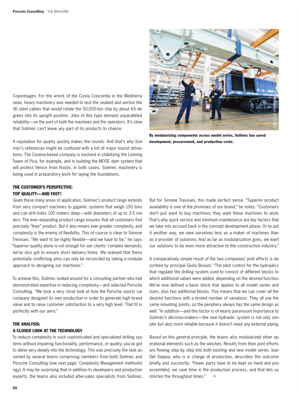Copenhagen. For the wreck of the Costa Concordia in the Mediterranean, heavy machinery was needed to test the seabed and anchor the 36 steel cables that would rotate the 50,000-ton ship by about 65 degrees into its upright position. Jobs of this type demand unparalleled reliability—on the part of both the machines and the operators. It's clear that Soilmec can't leave any part of its products to chance.

A reputation for quality quickly makes the rounds. And that's why Soilmec's references might be confused with a list of major tourist attractions. The Cesena-based company is involved in stabilizing the Leaning Tower of Pisa, for example, and in building the MOSE dam system that will protect Venice from floods. In both cases, Soilmec machinery is being used in preparatory work for laying the foundations.

## The customer's perspective: Top quality—and fast!

Given these many areas of application, Soilmec's product range extends from very compact machines to gigantic systems that weigh 150 tons and can drill holes 100 meters deep—with diameters of up to 3.5 meters. The ever expanding product range ensures that all customers find precisely "their" product. But it also means ever greater complexity, and complexity is the enemy of flexibility. This of course is clear to Simone Trevisani. "We want to be highly flexible—and we have to be," he says. "Superior quality alone is not enough for our clients' complex demands; we've also got to ensure short delivery times. We realized that these potentially conflicting aims can only be reconciled by taking a modular approach to designing our machines."

To achieve this, Soilmec looked around for a consulting partner who had demonstrated expertise in reducing complexity—and selected Porsche Consulting. "We took a very close look at how the Porsche sports car company designed its own production in order to generate high brand value and to raise customer satisfaction to a very high level. That fit in perfectly with our aims."

## The analysis:

#### A closer look at the technology

To reduce complexity in such sophisticated and specialized drilling systems without impairing functionality, performance, or quality, you've got to delve very deeply into the technology. This was precisely the task assumed by several teams comprising members from both Soilmec and Porsche Consulting (see next page: Complexity Management methodology). It may be surprising that in addition to developers and production experts, the teams also included after-sales specialists from Soilmec.



By modularizing components across model series, Soilmec has saved development, procurement, and production costs.

But for Simone Trevisani, this made perfect sense. "Superior product availability is one of the promises of our brand," he notes. "Customers don't just want to buy machines; they want these machines to work. That's why quick service and minimum maintenance are key factors that we take into account back in the concept development phase. Or to put it another way, we view ourselves less as a maker of machines than as a provider of solutions. And as far as modularization goes, we want our solutions to be even more attractive to the construction industry."

A comparatively simple result of the two companies' joint efforts is described by principal Giulio Busoni: "The pilot control for the hydraulics that regulate the drilling system used to consist of different blocks to which additional valves were added, depending on the desired function. We've now defined a basic block that applies to all model series and sizes, plus two additional blocks. This means that we can cover all the desired functions with a limited number of variations. They all use the same mounting points, so the periphery always has the same design as well. "In addition—and this factor is of nearly paramount importance to Soilmec's decision-makers—the new hydraulic system is not only simpler but also more reliable because it doesn't need any external piping.

Based on this general principle, the teams also modularized other operational elements such as the winches. Results from their joint efforts are flowing step by step into both existing and new model series. Ivan Del Seppia, who is in charge of production, describes the outcome briefly and succinctly: "Fewer parts have to be kept on hand and preassembled, we save time in the production process, and that lets us shorten the throughput times."  $\rightarrow$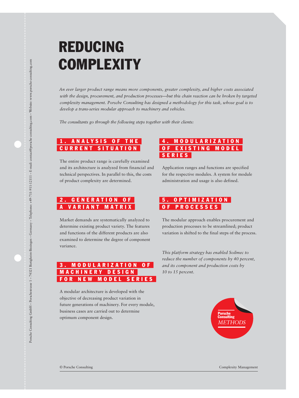# **REDUCING COMPLEXITY**

*An ever larger product range means more components, greater complexity, and higher costs associated with the design, procurement, and production processes—but this chain reaction can be broken by targeted complexity management. Porsche Consulting has designed a methodology for this task, whose goal is to develop a trans-series modular approach to machinery and vehicles.*

*The consultants go through the following steps together with their clients:*

# ANALYSIS OF THE **CURRENT SITUATION**

The entire product range is carefully examined and its architecture is analyzed from financial and technical perspectives. In parallel to this, the costs of product complexity are determined.

## GENERATION OF **VARIANT MATRIX**

Market demands are systematically analyzed to determine existing product variety. The features and functions of the different products are also examined to determine the degree of component variance.

## MODULARIZATION OF MACHINERY DESIGN FOR NEW MODEL SERIES

A modular architecture is developed with the objective of decreasing product variation in future generations of machinery. For every module, business cases are carried out to determine optimum component design.

## 4. MODULARIZATION OF EXISTING MODEL s e r i e s

Application ranges and functions are specified for the respective modules. A system for module administration and usage is also defined.

# O P T I M I Z A T I O N of proce ss e s

The modular approach enables procurement and production processes to be streamlined; product variation is shifted to the final steps of the process.

*This platform strategy has enabled Soilmec to reduce the number of components by 40 percent, and its component and production costs by 10 to 15 percent.* 



© Porsche Consulting Complexity Management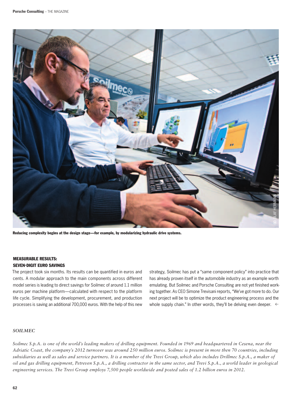

Reducing complexity begins at the design stage—for example, by modularizing hydraulic drive systems.

## Measurable results:

#### Seven-digit euro savings

The project took six months. Its results can be quantified in euros and cents. A modular approach to the main components across different model series is leading to direct savings for Soilmec of around 1.1 million euros per machine platform—calculated with respect to the platform life cycle. Simplifying the development, procurement, and production processes is saving an additional 700,000 euros. With the help of this new

strategy, Soilmec has put a "same component policy" into practice that has already proven itself in the automobile industry as an example worth emulating. But Soilmec and Porsche Consulting are not yet finished working together. As CEO Simone Trevisani reports, "We've got more to do. Our next project will be to optimize the product engineering process and the whole supply chain." In other words, they'll be delving even deeper.  $\leftarrow$ 

#### *Soilmec*

*Soilmec S.p.A. is one of the world's leading makers of drilling equipment. Founded in 1969 and headquartered in Cesena, near the Adriatic Coast, the company's 2012 turnover was around 250 million euros. Soilmec is present in more then 70 countries, including subsidiaries as well as sales and service partners. It is a member of the Trevi Group, which also includes Drillmec S.p.A., a maker of oil and gas drilling equipment, Petreven S.p.A., a drilling contractor in the same sector, and Trevi S.p.A., a world leader in geological engineering services. The Trevi Group employs 7,500 people worldwide and posted sales of 1.2 billion euros in 2012.*